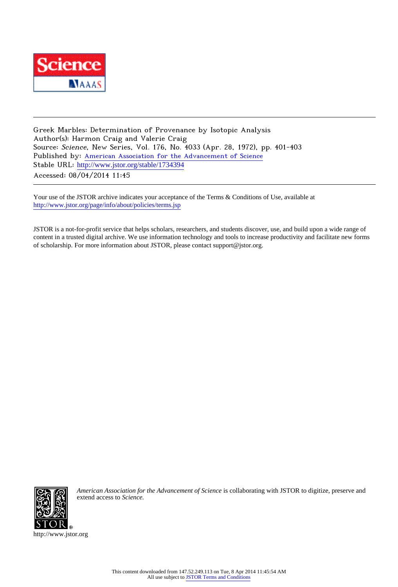

Greek Marbles: Determination of Provenance by Isotopic Analysis Author(s): Harmon Craig and Valerie Craig Source: Science, New Series, Vol. 176, No. 4033 (Apr. 28, 1972), pp. 401-403 Published by: [American Association for the Advancement of Science](http://www.jstor.org/action/showPublisher?publisherCode=aaas) Stable URL: [http://www.jstor.org/stable/1734394](http://www.jstor.org/stable/1734394?origin=JSTOR-pdf) Accessed: 08/04/2014 11:45

Your use of the JSTOR archive indicates your acceptance of the Terms & Conditions of Use, available at <http://www.jstor.org/page/info/about/policies/terms.jsp>

JSTOR is a not-for-profit service that helps scholars, researchers, and students discover, use, and build upon a wide range of content in a trusted digital archive. We use information technology and tools to increase productivity and facilitate new forms of scholarship. For more information about JSTOR, please contact support@jstor.org.



*American Association for the Advancement of Science* is collaborating with JSTOR to digitize, preserve and extend access to *Science.*

http://www.jstor.org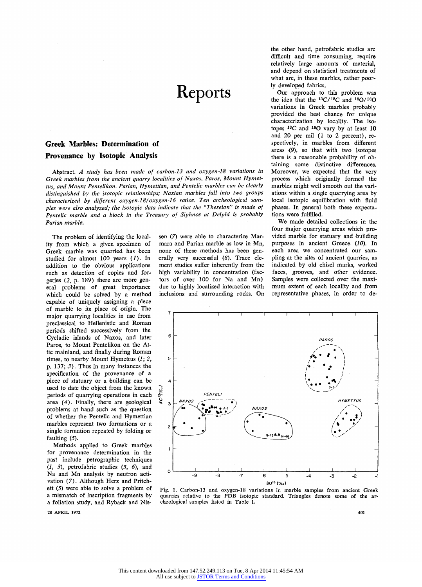## **Reports**

## **Greek Marbles: Determination of Provenance by Isotopic Analysis**

**Abstract. A study has been made of carbon-13 and oxygen-18 variations in Greek marbles from the ancient quarry localities of Naxos, Paros, Mount Hymettus, and Mount Pentelikon. Parian, Hymettian, and Pentelic marbles can be clearly distinguished by the isotopic relationships; Naxian marbles fall into two groups characterized by different oxygen-18/oxygen-16 ratios. Ten archeological samples were also analyzed; the isotopic data indicate that the "Theseion" is made of Pentelic marble and a block in the Treasury of Siphnos at Delphi is probably Parian marble.** 

**The problem of identifying the locality from which a given specimen of Greek marble was quarried has been studied for almost 100 years (1). In addition to the obvious applications such as detection of copies and forgeries (2, p. 189) there are more general problems of great importance which could be solved by a method capable of uniquely assigning a piece of marble to its place of origin. The major quarrying localities in use from preclassical to Hellenistic and Roman periods shifted successively from the Cycladic islands of Naxos, and later Paros, to Mount Pentelikon on the Attic mainland, and finally during Roman times, to nearby Mount Hymettus (1; 2, p. 137; 3). Thus in many instances the specification of the provenance of a piece of statuary or a building can be used to date the object from the known periods of quarrying operations in each area (4). Finally, there are geological problems at hand such as the question of whether the Pentelic and Hymettian marbles represent two formations or a single formation repeated by folding or faulting (5).** 

**Methods applied to Greek marbles for provenance determination in the past include petrographic techniques (1, 3), petrofabric studies (3, 6), and Na and Mn analysis by neutron activation (7). Although Herz and Pritchett (5) were able to solve a problem of a mismatch of inscription fragments by a foliation study, and Ryback and Nis-**

**28 APRIL 1972** 

**sen (7) were able to characterize Marmara and Parian marble as low in Mn, none of these methods has been generally very successful (8). Trace element studies suffer inherently from the high variability in concentration (factors of over 100 for Na and Mn) due to highly localized interaction with inclusions and surrounding rocks. On** 

**the other hand, petrofabric studies are difficult and time consuming, require relatively large amounts of material, and depend on statistical treatments of what are, in these marbles, rather poorly developed fabrics.** 

**Our approach to this problem was the idea that the 13C/12C and 18O/16O variations in Greek marbles probably provided the best chance for unique characterization by locality. The isotopes 13C and 180 vary by at least 10 and 20 per mil (1 to 2 percent), respectively, in marbles from different areas (9), so that with two isotopes there is a reasonable probability of obtaining some distinctive differences. Moreover, we expected that the very process which originally formed the marbles might well smooth out the variations within a single quarrying area by local isotopic equilibration with fluid phases. In general both these expectations were fulfilled.** 

**We made detailed collections in the four major quarrying areas which provided marble for statuary and building purposes in ancient Greece (10). In each area we concentrated our sampling at the sites of ancient quarries, as indicated by old chisel marks, worked faces, grooves, and other evidence. Samples were collected over the maximum extent of each locality and from representative phases, in order to de-** 



**Fig. 1. Carbon-13 and oxygen-18 variations in marble samples from ancient Greek quarries relative to the PDB isotopic standard. Triangles denote some of the archeological samples listed in Table 1.** 

**401**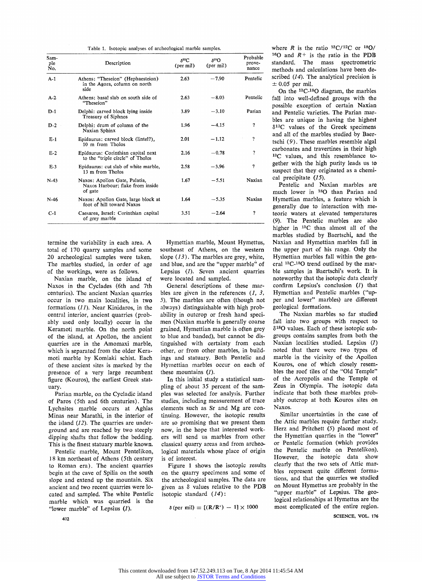| Sam-<br>ple<br>No. | Description                                                                  | $\lambda^{13}$ C<br>(per mil) | $S^{18}O$<br>$(per \text{mil})$ | Probable<br>prove-<br>nance |
|--------------------|------------------------------------------------------------------------------|-------------------------------|---------------------------------|-----------------------------|
| $A-1$              | Athens: "Theseion" (Hephaesteion)<br>in the Agora, column on north<br>side   | 2.63                          | $-7.90$                         | Pentelic                    |
| $A-2$              | Athens: basal slab on south side of<br>"Theseion"                            | 2.63                          | $-8.03$                         | Pentelic                    |
| $D-1$              | Delphi: carved block lying inside<br>Treasury of Siphnos                     | 3.89                          | $-3.10$                         | Parian                      |
| $D-2$              | Delphi: drum of column of the<br>Naxian Sphinx                               | 1.96                          | $-4.15$                         | ?                           |
| $E-1$              | Epidaurus: carved block (lintel?),<br>10 m from Tholos                       | 2.01                          | $-1.12$                         | ?                           |
| $E-2$              | Epidaurus: Corinthian capital next<br>to the "triple circle" of Tholos       | 2.16                          | $-0.78$                         | ?                           |
| $E-3$              | Epidaurus: cut slab of white marble,<br>13 m from Tholos                     | 2.58                          | $-3.96$                         | 7                           |
| $N-43$             | Naxos: Apollon Gate, Palatia,<br>Naxos Harbour; flake from inside<br>of gate | 1.67                          | $-5.51$                         | Naxian                      |
| $N-46$             | Naxos: Apollon Gate, large block at<br>foot of hill toward Naxos             | 1.64                          | $-5.35$                         | Naxian                      |
| $C-1$              | Caesarea, Israel: Corinthian capital<br>of grey marble                       | 3.51                          | $-2.64$                         | 7                           |

**termine the variability in each area. A total of 170 quarry samples and some 20 archeological samples were taken. The marbles studied, in order of age of the workings, were as follows.** 

**Naxian marble, on the island of Naxos in the Cyclades (6th and 7th centuries). The ancient Naxian quarries occur in two main localities, in two formations (11). Near Kinidaros, in the central interior, ancient quarries (probably used only locally) occur in the Keramoti marble. On the north point of the island, at Apollon, the ancient quarries are in the Amomaxi marble, which is separated from the older Keramoti marble by Komiaki schist. Each of these ancient sites is marked by the presence of a very large recumbent figure (Kouros), the earliest Greek statuary.** 

**Parian marble, on the Cycladic island of Paros (5th and 6th centuries). The Lychnites marble occurs at Aghias Minas near Marathi, in the interior of the island (12). The quarries are underground and are reached by two steeply dipping shafts that follow the bedding. This is the finest statuary marble known.** 

**Pentelic marble, Mount Pentelikon, 18 km northeast of Athens (5th century to Roman era). The ancient quarries begin at the cave of Spilia on the south slope and extend up the mountain. Six ancient and two recent quarries were located and sampled. The white Pentelic marble which was quarried is the "lower marble" of Lepsius (1).** 

**Hymettian marble, Mount Hymettus, southeast of Athens, on the western slope (13). The marbles are grey, white, and blue, and are the "upper marble" of Lepsius (1). Seven ancient quarries were located and sampled.** 

**General descriptions of these marbles are given in the references (1, 3, 5). The marbles are often (though not always) distinguishable with high probability in outcrop or fresh hand specimen (Naxian marble is generally coarse grained, Hymettian marble is often grey to blue and banded), but cannot be distinguished with certainty from each other, or from other marbles, in buildings and statuary. Both Pentelic and Hymettian marbles occur on each of these mountains (1).** 

**In this initial study a statistical sampling of about 35 percent of the samples was selected for analysis. Further studies, including measurement of trace elements such as Sr and Mg are continuing. However, the isotopic results are so promising that we present them now, in the hope that interested workers will send us marbles from other classical quarry areas and from archeological materials whose place of origin is of interest.** 

**Figure 1 shows the isotopic results on the quarry specimens and some of the archeological samples. The data are given as 8 values relative to the PDB isotopic standard (14):** 

 $\delta$  (per mil) = [(R/R<sup>+</sup>) - 1]  $\times$  1000

where  $R$  is the ratio  $\frac{13C}{12C}$  or  $\frac{18O}{1}$  $160$  and  $R+$  is the ratio in the PDB **standard. The mass spectrometric methods and calculations have been described (14). The analytical precision is + 0.05 per mil.** 

**On the 13C-180 diagram, the marbles fall into well-defined groups with the possible exception of certain Naxian and Pentelic varieties. The Parian marbles are unique in having the highest 813C values of the Greek specimens and all of the marbles studied by Baertschi (9). These marbles resemble algal carbonates and travertines in their high 13C values, and this resemblance together with the high purity leads us to suspect that they originated as a chemical precipitate (15).** 

**Pentelic and Naxian marbles are much lower in 180 than Parian and Hymettian marbles, a feature which is generally due to interaction with meteoric waters at elevated temperatures (9). The Pentelic marbles are also higher in 13C than almost all of the marbles studied by Baertschi, and the Naxian and Hymettian marbles fall in the upper part of his range. Only the Hymettian marbles fall within the general 13C-180 trend outlined by the marble samples in Baertschi's work. It is noteworthy that the isotopic data clearly confirm Lepsius's conclusion (1) that Hymettian and Pentelic marbles ("upper and lower" marbles) are different geological formations.** 

**The Naxian marbles so far studied fall into two groups with respect to 818O values. Each of these isotopic subgroups contains samples from both the Naxian localities studied. Lepsius (1) noted that there were two types of marble in the vicinity of the Apollon Kouros, one of which closely resembles the roof tiles of the "Old Temple" of the Acropolis and the Temple of Zeus in Olympia. The isotopic data indicate that both these marbles probably outcrop at both Kouros sites on Naxos.** 

**Similar uncertainties in the case of the Attic marbles require further study. Herz and Pritchett (5) placed most of the Hymettian quarries in the "lower" or Pentelic formation (which provides the Pentelic marble on Pentelikon). However, the isotopic data show clearly that the two sets of Attic marbles represent quite different formations, and that the quarries we studied on Mount Hymettus are probably in the "upper marble" of Lepsius. The geological relationships at Hymettus are the most complicated of the entire region.** 

**SCIENCE, VOL. 176**